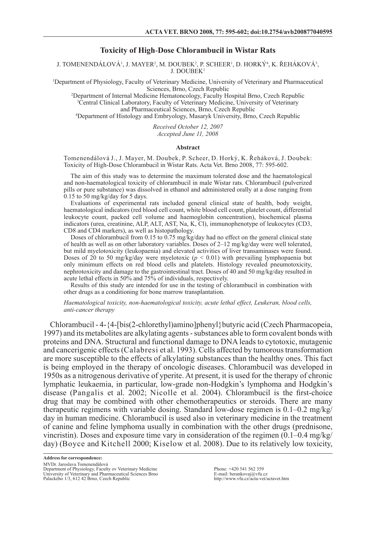## **Toxicity of High**-**Dose Chlorambucil in Wistar Rats**

J. TOMENENDALOVA', J. MAYER<sup>2</sup>, M. DOUBEK<sup>2</sup>, P. SCHEER', D. HORKY<sup>4</sup>, K. REHAKOVA<sup>3</sup>, J. DOUBEK1

1 Department of Physiology, Faculty of Veterinary Medicine, University of Veterinary and Pharmaceutical Sciences, Brno, Czech Republic

2 Department of Internal Medicine Hematoncology, Faculty Hospital Brno, Czech Republic

3 Central Clinical Laboratory, Faculty of Veterinary Medicine, University of Veterinary and Pharmaceutical Sciences, Brno, Czech Republic

4 Department of Histology and Embryology, Masaryk University, Brno, Czech Republic

*Received October 12, 2007 Accepted June 11, 2008*

#### **Abstract**

Tomenendálová J., J. Mayer, M. Doubek, P. Scheer, D. Horký, K. Řeháková, J. Doubek: Toxicity of High-Dose Chlorambucil in Wistar Rats. Acta Vet. Brno 2008, 77: 595-602.

The aim of this study was to determine the maximum tolerated dose and the haematological and non-haematological toxicity of chlorambucil in male Wistar rats. Chlorambucil (pulverized pills or pure substance) was dissolved in ethanol and administered orally at a dose ranging from  $0.15$  to 50 mg/kg/day for 5 days.

Evaluations of experimental rats included general clinical state of health, body weight, haematological indicators (red blood cell count, white blood cell count, platelet count, differential leukocyte count, packed cell volume and haemoglobin concentration), biochemical plasma indicators (urea, creatinine, ALP, ALT, AST, Na, K, Cl), immunophenotype of leukocytes (CD3, CD8 and CD4 markers), as well as histopathology.

Doses of chlorambucil from 0.15 to 0.75 mg/kg/day had no effect on the general clinical state of health as well as on other laboratory variables. Doses of  $2-12$  mg/kg/day were well tolerated, but mild myelotoxicity (leukopaenia) and elevated activities of liver transaminases were found. Doses of 20 to 50 mg/kg/day were myelotoxic ( $p < 0.01$ ) with prevailing lymphopaenia but only minimum effects on red blood cells and platelets. Histology revealed pneumotoxicity, nephrotoxicity and damage to the gastrointestinal tract. Doses of 40 and 50 mg/kg/day resulted in acute lethal effects in 50% and 75% of individuals, respectively.

Results of this study are intended for use in the testing of chlorambucil in combination with other drugs as a conditioning for bone marrow transplantation.

*Haematological toxicity, non-haematological toxicity, acute lethal effect, Leukeran, blood cells, anti-cancer therapy*

Chlorambucil - 4-{4-[bis(2-chlorethyl)amino]phenyl}butyric acid (Czech Pharmacopeia, 1997) and its metabolites are alkylating agents - substances able to form covalent bonds with proteins and DNA. Structural and functional damage to DNA leads to cytotoxic, mutagenic and cancerigenic effects (Calabresi et al. 1993). Cells affected by tumorous transformation are more susceptible to the effects of alkylating substances than the healthy ones. This fact is being employed in the therapy of oncologic diseases. Chlorambucil was developed in 1950s as a nitrogenous derivative of yperite. At present, it is used for the therapy of chronic lymphatic leukaemia, in particular, low-grade non-Hodgkin's lymphoma and Hodgkin's disease (Pangalis et al. 2002; Nicolle et al. 2004). Chlorambucil is the first-choice drug that may be combined with other chemotherapeutics or steroids. There are many therapeutic regimens with variable dosing. Standard low-dose regimen is 0.1–0.2 mg/kg/ day in human medicine. Chlorambucil is used also in veterinary medicine in the treatment of canine and feline lymphoma usually in combination with the other drugs (prednisone, vincristin). Doses and exposure time vary in consideration of the regimen (0.1–0.4 mg/kg/ day) (Boyce and Kitchell 2000; Kiselow et al. 2008). Due to its relatively low toxicity,

**Address for correspondence:** MVDr. Jaroslava Tomenendálová Department of Physiology, Faculty ov Veterinary Medicine University of Veterinary and Pharmaceutical Sciences Brno Palackého 1/3, 612 42 Brno, Czech Republic

Phone: +420 541 562 359 E-mail: berankovaj $\omega$ vfu.cz http://www.vfu.cz/acta-vet/actavet.htm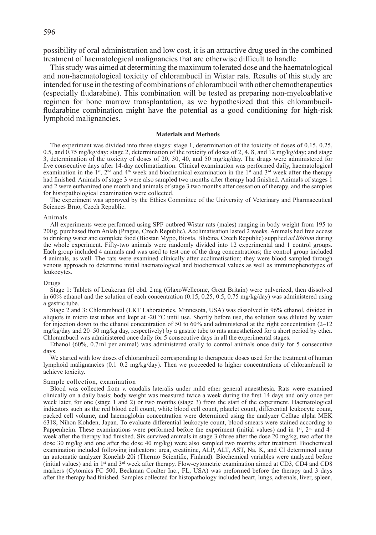possibility of oral administration and low cost, it is an attractive drug used in the combined treatment of haematological malignancies that are otherwise difficult to handle.

This study was aimed at determining the maximum tolerated dose and the haematological and non-haematological toxicity of chlorambucil in Wistar rats. Results of this study are intended for use in the testing of combinations of chlorambucil with other chemotherapeutics (especially fludarabine). This combination will be tested as preparing non-myeloablative regimen for bone marrow transplantation, as we hypothesized that this chlorambucilfludarabine combination might have the potential as a good conditioning for high-risk lymphoid malignancies.

#### **Materials and Methods**

The experiment was divided into three stages: stage 1, determination of the toxicity of doses of 0.15, 0.25, 0.5, and  $0.75 \text{ mg/kg/day}$ ; stage 2, determination of the toxicity of doses of 2, 4, 8, and 12 mg/kg/day; and stage 3, determination of the toxicity of doses of 20, 30, 40, and 50 mg/kg/day. The drugs were administered for five consecutive days after 14-day acclimatization. Clinical examination was performed daily, haematological examination in the 1st, 2<sup>nd</sup> and 4<sup>th</sup> week and biochemical examination in the 1st and 3<sup>rd</sup> week after the therapy had finished. Animals of stage 3 were also sampled two months after therapy had finished. Animals of stages 1 and 2 were euthanized one month and animals of stage 3 two months after cessation of therapy, and the samples for histopathological examination were collected.

The experiment was approved by the Ethics Committee of the University of Veterinary and Pharmaceutical Sciences Brno, Czech Republic.

#### Animals

All experiments were performed using SPF outbred Wistar rats (males) ranging in body weight from 195 to 200g, purchased from Anlab (Prague, Czech Republic). Acclimatisation lasted 2 weeks. Animals had free access to drinking water and complete food (Biostan Mypo, Biosta, Blučina, Czech Republic) supplied *ad libitum* during the whole experiment. Fifty-two animals were randomly divided into 12 experimental and 1 control groups. Each group included 4 animals and was used to test one of the drug concentrations; the control group included 4 animals, as well. The rats were examined clinically after acclimatisation; they were blood sampled through venous approach to determine initial haematological and biochemical values as well as immunophenotypes of leukocytes.

#### Drugs

Stage 1: Tablets of Leukeran tbl obd. 2mg (GlaxoWellcome, Great Britain) were pulverized, then dissolved in 60% ethanol and the solution of each concentration (0.15, 0.25, 0.5, 0.75 mg/kg/day) was administered using a gastric tube.

Stage 2 and 3: Chlorambucil (LKT Laboratories, Minnesota, USA) was dissolved in 96% ethanol, divided in aliquots in micro test tubes and kept at -20 °C until use. Shortly before use, the solution was diluted by water for injection down to the ethanol concentration of 50 to 60% and administered at the right concentration  $(2-12)$ mg/kg/day and 20–50 mg/kg day, respectively) by a gastric tube to rats anaesthetized for a short period by ether. Chlorambucil was administered once daily for 5 consecutive days in all the experimental stages.

ethanol (60%, 0.7ml per animal) was administered orally to control animals once daily for 5 consecutive days.

We started with low doses of chlorambucil corresponding to therapeutic doses used for the treatment of human lymphoid malignancies (0.1–0.2 mg/kg/day). Then we proceeded to higher concentrations of chlorambucil to achieve toxicity.

### Sample collection, examination

Blood was collected from v. caudalis lateralis under mild ether general anaesthesia. Rats were examined clinically on a daily basis; body weight was measured twice a week during the first 14 days and only once per week later, for one (stage 1 and 2) or two months (stage 3) from the start of the experiment. Haematological indicators such as the red blood cell count, white blood cell count, platelet count, differential leukocyte count, packed cell volume, and haemoglobin concentration were determined using the analyzer Celltac alpha MEK 6318, Nihon Kohden, Japan. To evaluate differential leukocyte count, blood smears were stained according to Pappenheim. These examinations were performed before the experiment (initial values) and in  $1<sup>st</sup>$ ,  $2<sup>nd</sup>$  and  $4<sup>th</sup>$ week after the therapy had finished. Six survived animals in stage 3 (three after the dose 20 mg/kg, two after the dose 30 mg/kg and one after the dose 40 mg/kg) were also sampled two months after treatment. Biochemical examination included following indicators: urea, creatinine, ALP, ALT, AST, Na, K, and Cl determined using an automatic analyzer Konelab 20i (Thermo Scientific, Finland). Biochemical variables were analyzed before (initial values) and in  $1<sup>st</sup>$  and  $3<sup>rd</sup>$  week after therapy. Flow-cytometric examination aimed at CD3, CD4 and CD8 markers (Cytomics FC 500, Beckman Coulter Inc., FL, USA) was preformed before the therapy and 3 days after the therapy had finished. Samples collected for histopathology included heart, lungs, adrenals, liver, spleen,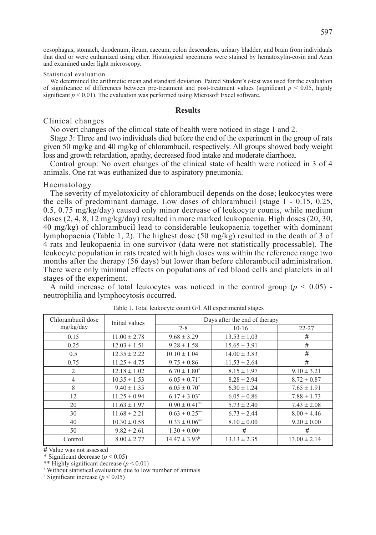oesophagus, stomach, duodenum, ileum, caecum, colon descendens, urinary bladder, and brain from individuals that died or were euthanized using ether. Histological specimens were stained by hematoxylin-eosin and Azan and examined under light microscopy.

#### Statistical evaluation

We determined the arithmetic mean and standard deviation. Paired Student's *t*-test was used for the evaluation of significance of differences between pre-treatment and post-treatment values (significant  $p \le 0.05$ , highly significant  $p < 0.01$ ). The evaluation was performed using Microsoft Excel software.

## **Results**

## Clinical changes

No overt changes of the clinical state of health were noticed in stage 1 and 2.

Stage 3: Three and two individuals died before the end of the experiment in the group of rats given 50 mg/kg and 40 mg/kg of chlorambucil, respectively. All groups showed body weight loss and growth retardation, apathy, decreased food intake and moderate diarrhoea.

Control group: No overt changes of the clinical state of health were noticed in 3 of 4 animals. One rat was euthanized due to aspiratory pneumonia.

### Haematology

The severity of myelotoxicity of chlorambucil depends on the dose; leukocytes were the cells of predominant damage. Low doses of chlorambucil (stage 1 - 0.15, 0.25, 0.5, 0.75 mg/kg/day) caused only minor decrease of leukocyte counts, while medium doses (2, 4, 8, 12 mg/kg/day) resulted in more marked leukopaenia. High doses (20, 30, 40 mg/kg) of chlorambucil lead to considerable leukopaenia together with dominant lymphopaenia (Table 1, 2). The highest dose (50 mg/kg) resulted in the death of 3 of 4 rats and leukopaenia in one survivor (data were not statistically processable). The leukocyte population in rats treated with high doses was within the reference range two months after the therapy (56 days) but lower than before chlorambucil administration. There were only minimal effects on populations of red blood cells and platelets in all stages of the experiment.

A mild increase of total leukocytes was noticed in the control group  $(p < 0.05)$  neutrophilia and lymphocytosis occurred.

| Chlorambucil dose | Initial values   | Days after the end of therapy |                  |                  |  |  |
|-------------------|------------------|-------------------------------|------------------|------------------|--|--|
| mg/kg/day         |                  | $2 - 8$                       | $10-16$          | $22 - 27$        |  |  |
| 0.15              | $11.00 \pm 2.78$ | $9.68 \pm 3.29$               | $13.53 \pm 1.03$ | #                |  |  |
| 0.25              | $12.03 \pm 1.51$ | $9.28 \pm 1.58$               | $15.65 \pm 3.91$ | #                |  |  |
| 0.5               | $12.35 \pm 2.22$ | $10.10 \pm 1.04$              | $14.00 \pm 3.83$ | #                |  |  |
| 0.75              | $11.25 \pm 4.75$ | $9.75 \pm 0.86$               | $11.53 \pm 2.64$ | #                |  |  |
| $\overline{2}$    | $12.18 \pm 1.02$ | $6.70 \pm 1.80^*$             | $8.15 \pm 1.97$  | $9.10 \pm 3.21$  |  |  |
| $\overline{4}$    | $10.35 \pm 1.53$ | $6.05 \pm 0.71$ <sup>*</sup>  | $8.28 \pm 2.94$  | $8.72 \pm 0.87$  |  |  |
| 8                 | $9.40 \pm 1.35$  | $6.05 \pm 0.70^*$             | $6.30 \pm 1.24$  | $7.65 \pm 1.91$  |  |  |
| 12                | $11.25 \pm 0.94$ | $6.17 \pm 3.03^*$             | $6.05 \pm 0.86$  | $7.88 \pm 1.73$  |  |  |
| 20                | $11.63 \pm 1.97$ | $0.90 \pm 0.41$ <sup>**</sup> | $5.73 \pm 2.40$  | $7.43 \pm 2.08$  |  |  |
| 30                | $11.68 \pm 2.21$ | $0.63 \pm 0.25$ **            | $6.73 \pm 2.44$  | $8.00 \pm 4.46$  |  |  |
| 40                | $10.30 \pm 0.58$ | $0.33 \pm 0.06$ **            | $8.10 \pm 0.00$  | $9.20 \pm 0.00$  |  |  |
| 50                | $9.82 \pm 2.61$  | $1.30 \pm 0.00^{\circ}$       | #                | #                |  |  |
| Control           | $8.00 \pm 2.77$  | $14.47 \pm 3.93^b$            | $13.13 \pm 2.35$ | $13.00 \pm 2.14$ |  |  |

Table 1. Total leukocyte count G/l. All experimental stages

# Value was not assessed

\* Significant decrease  $(p < 0.05)$ 

\*\* Highly significant decrease (*p* < 0.01) a Without statistical evaluation due to low number of animals

<sup>b</sup> Significant increase  $(p < 0.05)$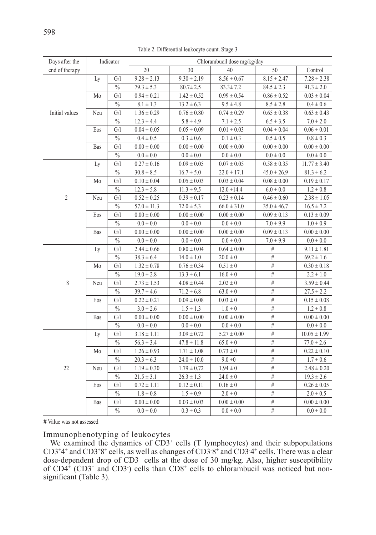| Days after the | Indicator |                           | Chlorambucil dose mg/kg/day |                 |                                       |                 |                  |  |  |
|----------------|-----------|---------------------------|-----------------------------|-----------------|---------------------------------------|-----------------|------------------|--|--|
| end of therapy |           |                           | $\overline{20}$             | 30              | 40                                    | 50              | Control          |  |  |
|                | Ly        | G/1                       | $9.28 \pm 2.13$             | $9.30 \pm 2.19$ | $8.56 \pm 0.67$                       | $8.15 \pm 2.47$ | $7.28 \pm 2.38$  |  |  |
|                |           | $\sqrt[0]{\phantom{0}}_0$ | $79.3 \pm 5.3$              | $80.7 \pm 2.5$  | $83.3 \pm 7.2$                        | $84.5 \pm 2.3$  | $91.3 \pm 2.0$   |  |  |
|                | Mo        | G/I                       | $0.94 \pm 0.21$             | $1.42 \pm 0.52$ | $0.99 \pm 0.54$                       | $0.86 \pm 0.52$ | $0.03 \pm 0.04$  |  |  |
|                |           | $\overline{\frac{0}{0}}$  | $8.1 \pm 1.3$               | $13.2 \pm 6.3$  | $9.5 \pm 4.8$                         | $8.5 \pm 2.8$   | $0.4 \pm 0.6$    |  |  |
| Initial values | Neu       | G/I                       | $1.36 \pm 0.29$             | $0.76 \pm 0.80$ | $0.74 \pm 0.29$                       | $0.65 \pm 0.38$ | $0.63 \pm 0.43$  |  |  |
|                |           | $\frac{0}{6}$             | $12.3 \pm 4.4$              | $5.8 \pm 4.9$   | $7.1 \pm 2.5$                         | $6.5 \pm 3.5$   | $7.0 \pm 2.0$    |  |  |
|                | Eos       | G/I                       | $0.04 \pm 0.05$             | $0.05 \pm 0.09$ | $0.01 \pm 0.03$                       | $0.04 \pm 0.04$ | $0.06 \pm 0.01$  |  |  |
|                |           | $\frac{0}{6}$             | $0.4 \pm 0.5$               | $0.3 \pm 0.6$   | $0.1 \pm 0.3$                         | $0.5 \pm 0.5$   | $0.8 \pm 0.3$    |  |  |
|                | Bas       | G/1                       | $0.00 \pm 0.00$             | $0.00 \pm 0.00$ | $\frac{0.00 \pm 0.00}{0.00 \pm 0.00}$ | $0.00 \pm 0.00$ | $0.00 \pm 0.00$  |  |  |
|                |           | $\frac{0}{6}$             | $0.0 \pm 0.0$               | $0.0 \pm 0.0$   | $0.0 \pm 0.0$                         | $0.0 \pm 0.0$   | $0.0 \pm 0.0$    |  |  |
|                | Ly        | G/I                       | $0.27 \pm 0.16$             | $0.09 \pm 0.05$ | $0.07 \pm 0.05$                       | $0.58 \pm 0.35$ | $11.77 \pm 3.40$ |  |  |
|                |           | $\sqrt[0]{\phantom{0}}_0$ | $30.8 \pm 8.5$              | $16.7 \pm 5.0$  | $22.0 \pm 17.1$                       | $45.0 \pm 26.9$ | $81.3 \pm 6.2$   |  |  |
|                | Mo        | G/1                       | $0.10 \pm 0.04$             | $0.05 \pm 0.03$ | $0.03 \pm 0.04$                       | $0.08 \pm 0.00$ | $0.19 \pm 0.17$  |  |  |
|                |           | $\overline{\frac{0}{0}}$  | $12.3 \pm 5.8$              | $11.3 \pm 9.5$  | $12.0 \pm 14.4$                       | $6.0 \pm 0.0$   | $1.2 \pm 0.8$    |  |  |
| $\sqrt{2}$     | Neu       | G/I                       | $\overline{0.52} \pm 0.25$  | $0.39 \pm 0.17$ | $\overline{0.23} \pm 0.14$            | $0.46 \pm 0.60$ | $2.38 \pm 1.05$  |  |  |
|                |           | $\frac{0}{6}$             | $57.0 \pm 11.3$             | $72.0 \pm 5.3$  | $66.0 \pm 31.0$                       | $35.0 \pm 46.7$ | $16.5 \pm 7.2$   |  |  |
|                | Eos       | ${\rm G}/ {\rm I}$        | $0.00 \pm 0.00$             | $0.00 \pm 0.00$ | $0.00 \pm 0.00$                       | $0.09 \pm 0.13$ | $0.13 \pm 0.09$  |  |  |
|                |           | $\overline{\frac{0}{0}}$  | $0.0 \pm 0.0$               | $0.0 \pm 0.0$   | $0.0 \pm 0.0$                         | $7.0 \pm 9.9$   | $1.0 \pm 0.9$    |  |  |
|                | Bas       | G/I                       | $0.00 \pm 0.00$             | $0.00 \pm 0.00$ | $0.00 \pm 0.00$                       | $0.09 \pm 0.13$ | $0.00 \pm 0.00$  |  |  |
|                |           | $\overline{\frac{0}{0}}$  | $0.0 \pm 0.0$               | $0.0 \pm 0.0$   | $0.0 \pm 0.0$                         | $7.0 \pm 9.9$   | $0.0 \pm 0.0$    |  |  |
|                | Ly        | G/I                       | $2.44 \pm 0.66$             | $0.80 \pm 0.04$ | $0.64 \pm 0.00$                       | $\#$            | $9.11 \pm 1.81$  |  |  |
|                |           | $\sqrt[0]{\phantom{0}}_0$ | $38.3 \pm 6.4$              | $14.0 \pm 1.0$  | $20.0 \pm 0$                          | $\overline{\#}$ | $69.2 \pm 1.6$   |  |  |
|                | Mo        | G/1                       | $1.32 \pm 0.78$             | $0.76 \pm 0.34$ | $0.51 \pm 0$                          | $\#$            | $0.30 \pm 0.18$  |  |  |
|                |           | $\sqrt[0]{\phantom{0}}_0$ | $19.0 \pm 2.8$              | $13.3 \pm 6.1$  | $16.0\pm0$                            | #               | $2.2 \pm 1.0$    |  |  |
| 8              | Neu       | ${\rm G}/ {\rm I}$        | $2.73 \pm 1.53$             | $4.08 \pm 0.44$ | $2.02 \pm 0$                          | $\overline{\#}$ | $3.59 \pm 0.44$  |  |  |
|                |           | $\sqrt[0]{\!0}$           | $39.7 \pm 4.6$              | $71.2 \pm 6.8$  | $63.0 \pm 0$                          | $\#$            | $27.5 \pm 2.2$   |  |  |
|                | Eos       | G/I                       | $0.22 \pm 0.21$             | $0.09 \pm 0.08$ | $0.03 \pm 0$                          | $\#$            | $0.15 \pm 0.08$  |  |  |
|                |           | $\frac{0}{6}$             | $3.0 \pm 2.6$               | $1.5 \pm 1.3$   | $1.0 \pm 0$                           | $\overline{\#}$ | $1.2 \pm 0.8$    |  |  |
|                | Bas       | G/I                       | $0.00 \pm 0.00$             | $0.00 \pm 0.00$ | $0.00 \pm 0.00$                       | $\#$            | $0.00 \pm 0.00$  |  |  |
|                |           | $\%$                      | $0.0 \pm 0.0$               | $0.0 \pm 0.0$   | $0.0 \pm 0.0$                         | $\#$            | $0.0 \pm 0.0$    |  |  |
|                | Ly        | G/1                       | $3.18 \pm 1.11$             | $3.09 \pm 0.72$ | $5.27 \pm 0.00$                       | $\#$            | $10.05 \pm 1.99$ |  |  |
|                |           | $\sqrt[0]{\phantom{0}}_0$ | $56.3 \pm 3.4$              | $47.8 \pm 11.8$ | $65.0 \pm 0$                          | $\#$            | $77.0 \pm 2.6$   |  |  |
|                | Mo        | G/I                       | $1.26 \pm 0.93$             | $1.71 \pm 1.08$ | $0.73 \pm 0$                          | #               | $0.22 \pm 0.10$  |  |  |
|                |           | $\%$                      | $20.3 \pm 6.3$              | $24.0 \pm 10.0$ | $9.0 \pm 0$                           | $\overline{\#}$ | $1.7 \pm 0.6$    |  |  |
| 22             | Neu       | G/I                       | $1.19 \pm 0.30$             | $1.79 \pm 0.72$ | $1.94 \pm 0$                          | $\#$            | $2.48 \pm 0.20$  |  |  |
|                |           | $\%$                      | $21.5 \pm 3.1$              | $26.3 \pm 1.3$  | $24.0 \pm 0$                          | $\#$            | $19.3 \pm 2.6$   |  |  |
|                | Eos       | G/I                       | $0.72 \pm 1.11$             | $0.12 \pm 0.11$ | $0.16\pm0$                            | #               | $0.26 \pm 0.05$  |  |  |
|                |           | $\%$                      | $1.8 \pm 0.8$               | $1.5 \pm 0.9$   | $2.0 \pm 0$                           | $\overline{\#}$ | $2.0 \pm 0.5$    |  |  |
|                | Bas       | G/I                       | $0.00 \pm 0.00$             | $0.03 \pm 0.03$ | $0.00 \pm 0.00$                       | $\#$            | $0.00 \pm 0.00$  |  |  |
|                |           | $\%$                      | $0.0 \pm 0.0$               | $0.3 \pm 0.3$   | $0.0 \pm 0.0$                         | #               | $0.0 \pm 0.0$    |  |  |

Table 2. Differential leukocyte count. Stage 3

# Value was not assessed

Immunophenotyping of leukocytes

We examined the dynamics of  $CD3<sup>+</sup>$  cells (T lymphocytes) and their subpopulations CD3<sup>+4+</sup> and CD3<sup>+8+</sup> cells, as well as changes of CD3<sup>-8+</sup> and CD3<sup>-4+</sup> cells. There was a clear dose-dependent drop of CD3<sup>+</sup> cells at the dose of 30 mg/kg. Also, higher susceptibility of CD4<sup>+</sup> (CD3<sup>+</sup> and CD3<sup>-</sup>) cells than CD8<sup>+</sup> cells to chlorambucil was noticed but nonsignificant (Table 3).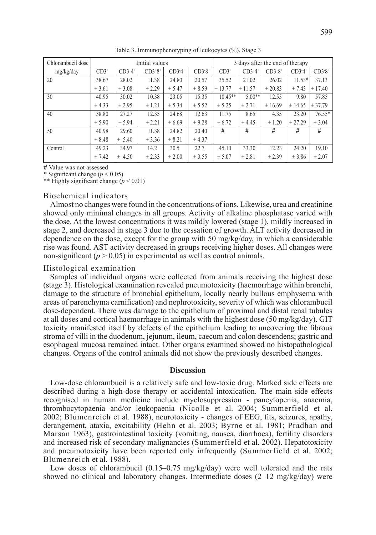| Chlorambucil dose | Initial values |                  |          |                      | 3 days after the end of therapy |             |            |            |          |             |
|-------------------|----------------|------------------|----------|----------------------|---------------------------------|-------------|------------|------------|----------|-------------|
| mg/kg/day         | $CD3+$         | $CD3+4+$         | $CD3+8+$ | $CD3-4$ <sup>+</sup> | $CD3.8+$                        | $CD3+$      | $CD3+4+$   | $CD3+8+$   | $CD3.4+$ | $CD3.8+$    |
| 20                | 38.67          | 28.02            | 11.38    | 24.80                | 20.57                           | 35.52       | 21.02      | 26.02      | $11.53*$ | 37.13       |
|                   | $\pm$ 3.61     | $\pm$ 3.08       | ± 2.29   | ± 5.47               | ± 8.59                          | $\pm 13.77$ | ± 11.57    | ± 20.83    | ± 7.43   | $\pm 17.40$ |
| 30                | 40.95          | 30.02            | 10.38    | 23.05                | 15.35                           | $10.45**$   | $5.00**$   | 12.55      | 9.80     | 57.85       |
|                   | ± 4.33         | ± 2.95           | ± 1.21   | ± 5.34               | ± 5.52                          | ± 5.25      | ± 2.71     | ± 16.69    | ± 14.65  | ± 37.79     |
| 40                | 38.80          | 27.27            | 12.35    | 24.68                | 12.63                           | 11.75       | 8.65       | 4.35       | 23.20    | $76.55*$    |
|                   | ± 5.90         | ± 5.94           | ± 2.21   | ± 6.69               | ± 9.28                          | ± 6.72      | ± 4.45     | $\pm 1.20$ | ± 27.29  | ± 3.04      |
| 50                | 40.98          | 29.60            | 11.38    | 24.82                | 20.40                           | #           | #          | #          | #        | #           |
|                   | ± 8.48         | ± 5.40           | ± 3.36   | ± 8.21               | ± 4.37                          |             |            |            |          |             |
| Control           | 49.23          | 34.97            | 14.2     | 30.5                 | 22.7                            | 45.10       | 33.30      | 12.23      | 24.20    | 19.10       |
|                   | ± 7.42         | 4.50<br>$_{\pm}$ | ± 2.33   | $\pm 2.00$           | ± 3.55                          | ± 5.07      | $\pm 2.81$ | ± 2.39     | ± 3.86   | ± 2.07      |

Table 3. Immunophenotyping of leukocytes (%). Stage 3

# Value was not assessed

\* Significant change ( $p < 0.05$ )

\*\* Highly significant change (*p* < 0.01)

## Biochemical indicators

Almost no changes were found in the concentrations of ions. Likewise, urea and creatinine showed only minimal changes in all groups. Activity of alkaline phosphatase varied with the dose. At the lowest concentrations it was mildly lowered (stage 1), mildly increased in stage 2, and decreased in stage 3 due to the cessation of growth. ALT activity decreased in dependence on the dose, except for the group with 50 mg/kg/day, in which a considerable rise was found. AST activity decreased in groups receiving higher doses. All changes were non-significant ( $p > 0.05$ ) in experimental as well as control animals.

# Histological examination

Samples of individual organs were collected from animals receiving the highest dose (stage 3). Histological examination revealed pneumotoxicity (haemorrhage within bronchi, damage to the structure of bronchial epithelium, locally nearly bullous emphysema with areas of parenchyma carnification) and nephrotoxicity, severity of which was chlorambucil dose-dependent. There was damage to the epithelium of proximal and distal renal tubules at all doses and cortical haemorrhage in animals with the highest dose (50 mg/kg/day). GIT toxicity manifested itself by defects of the epithelium leading to uncovering the fibrous stroma of villi in the duodenum, jejunum, ileum, caecum and colon descendens; gastric and esophageal mucosa remained intact. Other organs examined showed no histopathological changes. Organs of the control animals did not show the previously described changes.

## **Discussion**

Low-dose chlorambucil is a relatively safe and low-toxic drug. Marked side effects are described during a high-dose therapy or accidental intoxication. The main side effects recognised in human medicine include myelosuppression - pancytopenia, anaemia, thrombocytopaenia and/or leukopaenia (Nicolle et al. 2004; Summerfield et al. 2002; Blumenreich et al. 1988), neurotoxicity - changes of EEG, fits, seizures, apathy, derangement, ataxia, excitability (Hehn et al. 2003; Byrne et al. 1981; Pradhan and Marsan 1963), gastrointestinal toxicity (vomiting, nausea, diarrhoea), fertility disorders and increased risk of secondary malignancies (Summerfield et al. 2002). Hepatotoxicity and pneumotoxicity have been reported only infrequently (Summerfield et al. 2002; Blumenreich et al. 1988).

Low doses of chlorambucil (0.15–0.75 mg/kg/day) were well tolerated and the rats showed no clinical and laboratory changes. Intermediate doses  $(2-12 \text{ mg/kg/day})$  were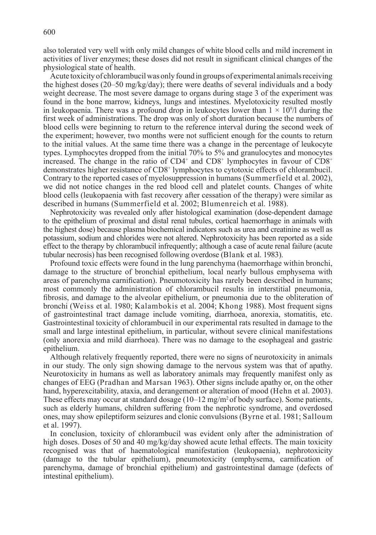also tolerated very well with only mild changes of white blood cells and mild increment in activities of liver enzymes; these doses did not result in significant clinical changes of the physiological state of health.

Acute toxicity of chlorambucil was only found in groups of experimental animals receiving the highest doses (20–50 mg/kg/day); there were deaths of several individuals and a body weight decrease. The most severe damage to organs during stage 3 of the experiment was found in the bone marrow, kidneys, lungs and intestines. Myelotoxicity resulted mostly in leukopaenia. There was a profound drop in leukocytes lower than  $1 \times 10^9$ /l during the first week of administrations. The drop was only of short duration because the numbers of blood cells were beginning to return to the reference interval during the second week of the experiment; however, two months were not sufficient enough for the counts to return to the initial values. At the same time there was a change in the percentage of leukocyte types. Lymphocytes dropped from the initial 70% to 5% and granulocytes and monocytes increased. The change in the ratio of  $CD4^+$  and  $CD8^+$  lymphocytes in favour of  $CD8^+$ demonstrates higher resistance of CD8<sup>+</sup> lymphocytes to cytotoxic effects of chlorambucil. Contrary to the reported cases of myelosuppression in humans (Summerfield et al. 2002), we did not notice changes in the red blood cell and platelet counts. Changes of white blood cells (leukopaenia with fast recovery after cessation of the therapy) were similar as described in humans (Summerfield et al. 2002; Blumenreich et al. 1988).

Nephrotoxicity was revealed only after histological examination (dose-dependent damage to the epithelium of proximal and distal renal tubules, cortical haemorrhage in animals with the highest dose) because plasma biochemical indicators such as urea and creatinine as well as potassium, sodium and chlorides were not altered. Nephrotoxicity has been reported as a side effect to the therapy by chlorambucil infrequently; although a case of acute renal failure (acute tubular necrosis) has been recognised following overdose (Blank et al. 1983).

Profound toxic effects were found in the lung parenchyma (haemorrhage within bronchi, damage to the structure of bronchial epithelium, local nearly bullous emphysema with areas of parenchyma carnification). Pneumotoxicity has rarely been described in humans; most commonly the administration of chlorambucil results in interstitial pneumonia, fibrosis, and damage to the alveolar epithelium, or pneumonia due to the obliteration of bronchi (Weiss et al. 1980; Kalambokis et al. 2004; Khong 1988). Most frequent signs of gastrointestinal tract damage include vomiting, diarrhoea, anorexia, stomatitis, etc. Gastrointestinal toxicity of chlorambucil in our experimental rats resulted in damage to the small and large intestinal epithelium, in particular, without severe clinical manifestations (only anorexia and mild diarrhoea). There was no damage to the esophageal and gastric epithelium.

Although relatively frequently reported, there were no signs of neurotoxicity in animals in our study. The only sign showing damage to the nervous system was that of apathy. Neurotoxicity in humans as well as laboratory animals may frequently manifest only as changes of EEG (Pradhan and Marsan 1963). Other signs include apathy or, on the other hand, hyperexcitability, ataxia, and derangement or alteration of mood (Hehn et al. 2003). These effects may occur at standard dosage  $(10-12 \text{ mg/m}^2)$  of body surface). Some patients, such as elderly humans, children suffering from the nephrotic syndrome, and overdosed ones, may show epileptiform seizures and clonic convulsions (Byrne et al. 1981; Salloum et al. 1997).

In conclusion, toxicity of chlorambucil was evident only after the administration of high doses. Doses of 50 and 40 mg/kg/day showed acute lethal effects. The main toxicity recognised was that of haematological manifestation (leukopaenia), nephrotoxicity (damage to the tubular epithelium), pneumotoxicity (emphysema, carnification of parenchyma, damage of bronchial epithelium) and gastrointestinal damage (defects of intestinal epithelium).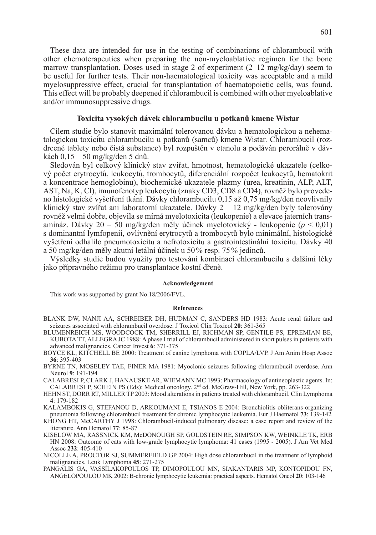These data are intended for use in the testing of combinations of chlorambucil with other chemoterapeutics when preparing the non-myeloablative regimen for the bone marrow transplantation. Doses used in stage 2 of experiment  $(2-12 \text{ mg/kg/day})$  seem to be useful for further tests. Their non-haematological toxicity was acceptable and a mild myelosuppressive effect, crucial for transplantation of haematopoietic cells, was found. This effect will be probably deepened if chlorambucil is combined with other myeloablative and/or immunosuppressive drugs.

# **Toxicita vysokých dávek chlorambucilu u potkanů kmene Wistar**

Cílem studie bylo stanovit maximální tolerovanou dávku a hematologickou a nehematologickou toxicitu chlorambucilu u potkanů (samců) kmene Wistar. Chlorambucil (rozdrcené tablety nebo čistá substance) byl rozpuštěn v etanolu a podáván perorálně v dávkách 0,15 – 50 mg/kg/den 5 dnů.

Sledován byl celkový klinický stav zvířat, hmotnost, hematologické ukazatele (celkový počet erytrocytů, leukocytů, trombocytů, diferenciální rozpočet leukocytů, hematokrit a koncentrace hemoglobinu), biochemické ukazatele plazmy (urea, kreatinin, ALP, ALT, AST, Na, K, Cl), imunofenotyp leukocytů (znaky CD3, CD8 a CD4), rovněž bylo provedeno histologické vyšetření tkání. Dávky chlorambucilu 0,15 až 0,75 mg/kg/den neovlivnily klinický stav zvířat ani laboratorní ukazatele. Dávky 2 – 12 mg/kg/den byly tolerovány rovněž velmi dobře, objevila se mírná myelotoxicita (leukopenie) a elevace jaterních transamináz. Dávky 20 – 50 mg/kg/den měly účinek myelotoxický - leukopenie (*p* < 0,01) s dominantní lymfopenií, ovlivnění erytrocytů a trombocytů bylo minimální, histologické vyšetření odhalilo pneumotoxicitu a nefrotoxicitu a gastrointestinální toxicitu. Dávky 40 a 50 mg/kg/den měly akutní letální účinek u 50% resp. 75% jedinců.

Výsledky studie budou využity pro testování kombinací chlorambucilu s dalšími léky jako přípravného režimu pro transplantace kostní dřeně.

#### **Acknowledgement**

This work was supported by grant No.18/2006/FVL.

#### **References**

- Blank DW, NANJI AA, Schreiber DH, Hudman C, Sanders HD 1983: Acute renal failure and seizures associated with chlorambucil overdose. J Toxicol Clin Toxicol **20**: 361-365
- Blumenreich MS, Woodcock TM, Sherrill EJ, Richman SP, Gentile PS, Epremian BE, KUBOTA TT, ALLEGRA JC 1988: A phase I trial of chlorambucil administered in short pulses in patients with advanced malignancies. Cancer Invest **6**: 371-375
- BOYCE KL, KITCHELL BE 2000: Treatment of canine lymphoma with COPLA/LVP. J Am Anim Hosp Assoc **36**: 395-403
- Byrne TN, Moseley TAE, Finer MA 1981: Myoclonic seizures following chlorambucil overdose. Ann Neurol **9**: 191-194
- Calabresi P, CLARK J, HANAUSKE AR, WIEMANN MC 1993: Pharmacology of antineoplastic agents. In: CALABRESI P, SCHEIN PS (Eds): Medical oncology.  $2<sup>nd</sup>$  ed. McGraw-Hill, New York, pp. 263-322
- HEHN ST, DORR RT, MILLER TP 2003: Mood alterations in patients treated with chlorambucil. Clin Lymphoma **4**: 179-182
- Kalambokis G, Stefanou D, Arkoumani E, Tsianos E 2004: Bronchiolitis obliterans organizing pneumonia following chlorambucil treatment for chronic lymphocytic leukemia. Eur J Haematol **73**: 139-142
- KHONG HT, McCARTHY J 1998: Chlorambucil-induced pulmonary disease: a case report and review of the literature. Ann Hematol **77**: 85-87
- KISELOW MA, RASSNICK KM, McDONOUGH SP, GOLDSTEIN RE, SIMPSON KW, WEINKLE TK, ERB HN 2008: Outcome of cats with low-grade lymphocytic lymphoma: 41 cases (1995 - 2005). J Am Vet Med Assoc **232**: 405-410
- NICOLLE A, PROCTOR SJ, SUMMERFIELD GP 2004: High dose chlorambucil in the treatment of lymphoid malignancies. Leuk Lymphoma **45**: 271-275
- Pangalis GA, Vassilakopoulos TP, Dimopoulou MN, Siakantaris MP, Kontopidou FN, Angelopoulou MK 2002: B-chronic lymphocytic leukemia: practical aspects. Hematol Oncol **20**: 103-146